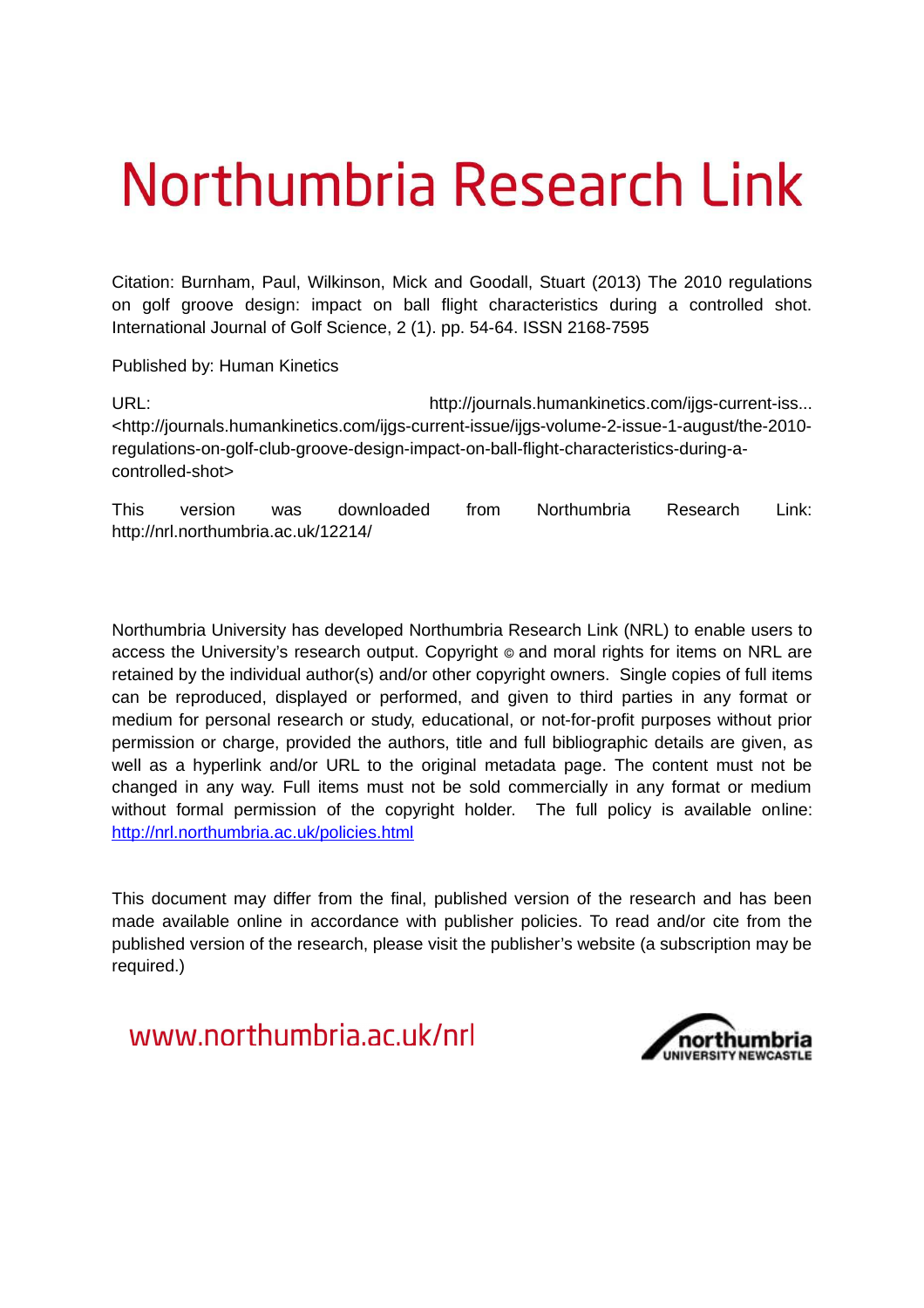# Northumbria Research Link

Citation: Burnham, Paul, Wilkinson, Mick and Goodall, Stuart (2013) The 2010 regulations on golf groove design: impact on ball flight characteristics during a controlled shot. International Journal of Golf Science, 2 (1). pp. 54-64. ISSN 2168-7595

Published by: Human Kinetics

URL: http://journals.humankinetics.com/ijgs-current-iss... <http://journals.humankinetics.com/ijgs-current-issue/ijgs-volume-2-issue-1-august/the-2010 regulations-on-golf-club-groove-design-impact-on-ball-flight-characteristics-during-acontrolled-shot>

This version was downloaded from Northumbria Research Link: http://nrl.northumbria.ac.uk/12214/

Northumbria University has developed Northumbria Research Link (NRL) to enable users to access the University's research output. Copyright  $\circ$  and moral rights for items on NRL are retained by the individual author(s) and/or other copyright owners. Single copies of full items can be reproduced, displayed or performed, and given to third parties in any format or medium for personal research or study, educational, or not-for-profit purposes without prior permission or charge, provided the authors, title and full bibliographic details are given, as well as a hyperlink and/or URL to the original metadata page. The content must not be changed in any way. Full items must not be sold commercially in any format or medium without formal permission of the copyright holder. The full policy is available online: <http://nrl.northumbria.ac.uk/policies.html>

This document may differ from the final, published version of the research and has been made available online in accordance with publisher policies. To read and/or cite from the published version of the research, please visit the publisher's website (a subscription may be required.)

www.northumbria.ac.uk/nrl

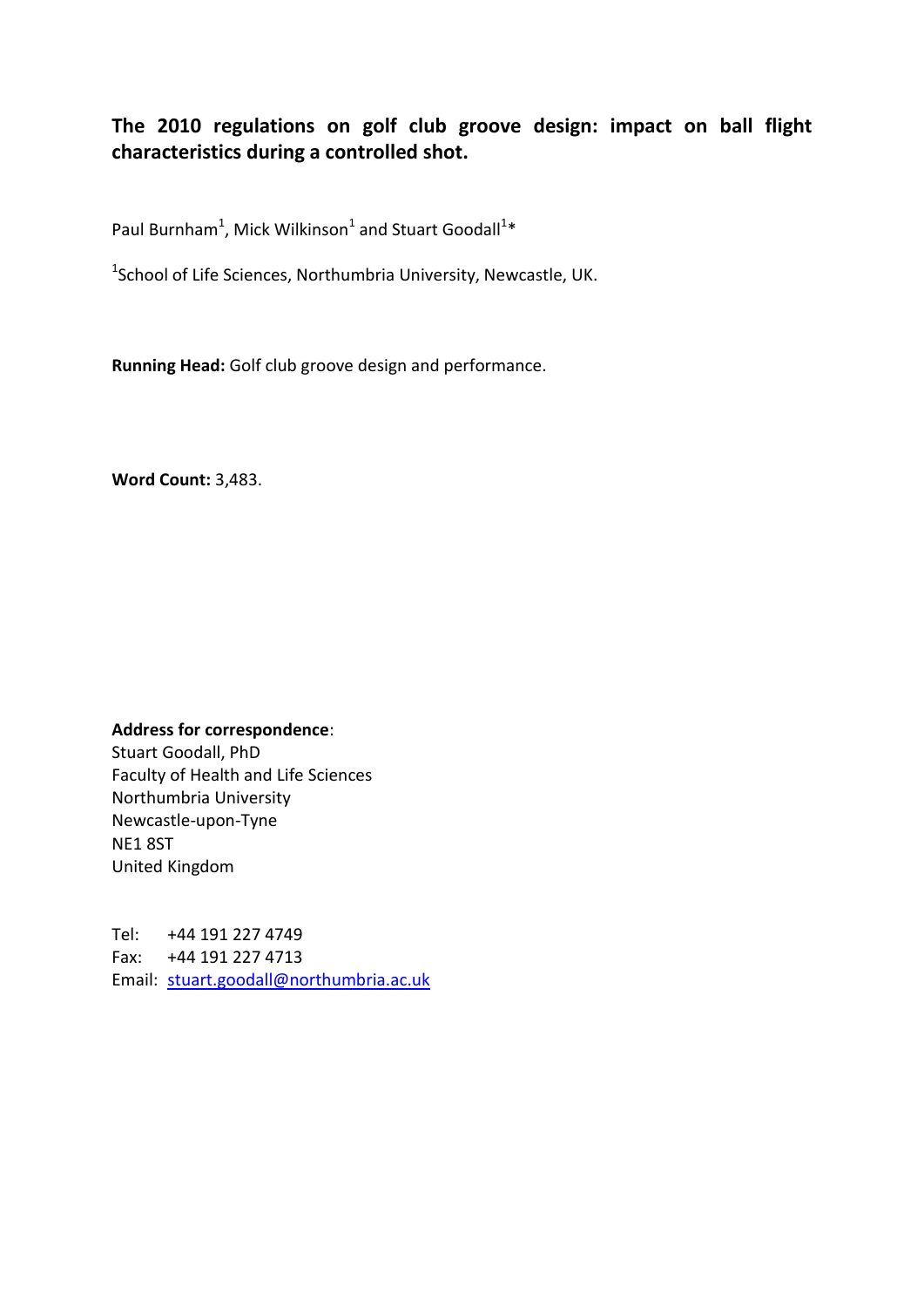## **The 2010 regulations on golf club groove design: impact on ball flight characteristics during a controlled shot.**

Paul Burnham<sup>1</sup>, Mick Wilkinson<sup>1</sup> and Stuart Goodall<sup>1</sup>\*

<sup>1</sup>School of Life Sciences, Northumbria University, Newcastle, UK.

**Running Head:** Golf club groove design and performance.

**Word Count:** 3,483.

**Address for correspondence**:

Stuart Goodall, PhD Faculty of Health and Life Sciences Northumbria University Newcastle-upon-Tyne NE1 8ST United Kingdom

Tel: +44 191 227 4749 Fax: +44 191 227 4713 Email: [stuart.goodall@northumbria.ac.uk](mailto:stuart.goodall@northumbria.ac.uk)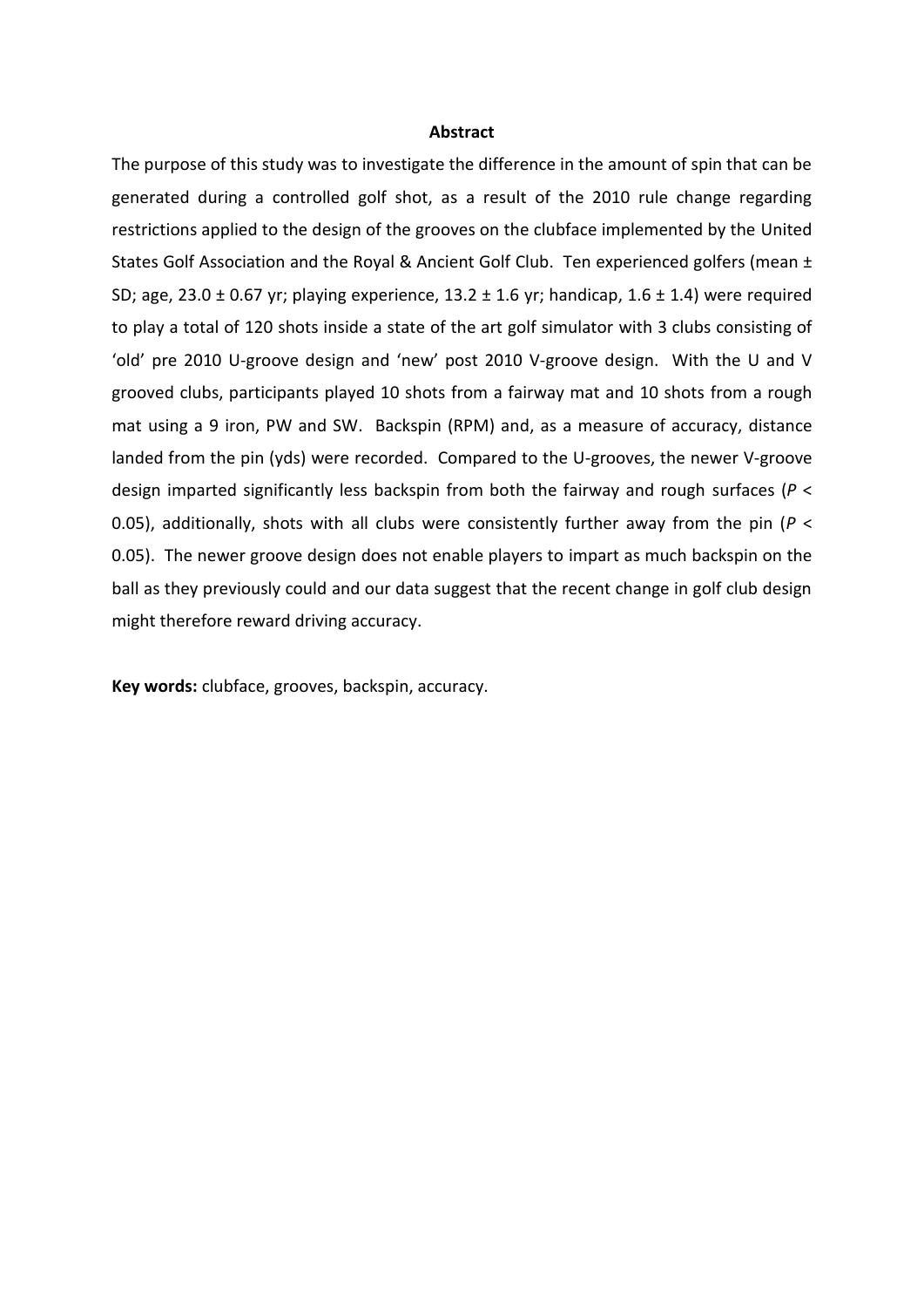## **Abstract**

The purpose of this study was to investigate the difference in the amount of spin that can be generated during a controlled golf shot, as a result of the 2010 rule change regarding restrictions applied to the design of the grooves on the clubface implemented by the United States Golf Association and the Royal & Ancient Golf Club. Ten experienced golfers (mean ± SD; age,  $23.0 \pm 0.67$  yr; playing experience,  $13.2 \pm 1.6$  yr; handicap,  $1.6 \pm 1.4$ ) were required to play a total of 120 shots inside a state of the art golf simulator with 3 clubs consisting of 'old' pre 2010 U-groove design and 'new' post 2010 V-groove design. With the U and V grooved clubs, participants played 10 shots from a fairway mat and 10 shots from a rough mat using a 9 iron, PW and SW. Backspin (RPM) and, as a measure of accuracy, distance landed from the pin (yds) were recorded. Compared to the U-grooves, the newer V-groove design imparted significantly less backspin from both the fairway and rough surfaces (*P* < 0.05), additionally, shots with all clubs were consistently further away from the pin (*P* < 0.05). The newer groove design does not enable players to impart as much backspin on the ball as they previously could and our data suggest that the recent change in golf club design might therefore reward driving accuracy.

**Key words:** clubface, grooves, backspin, accuracy.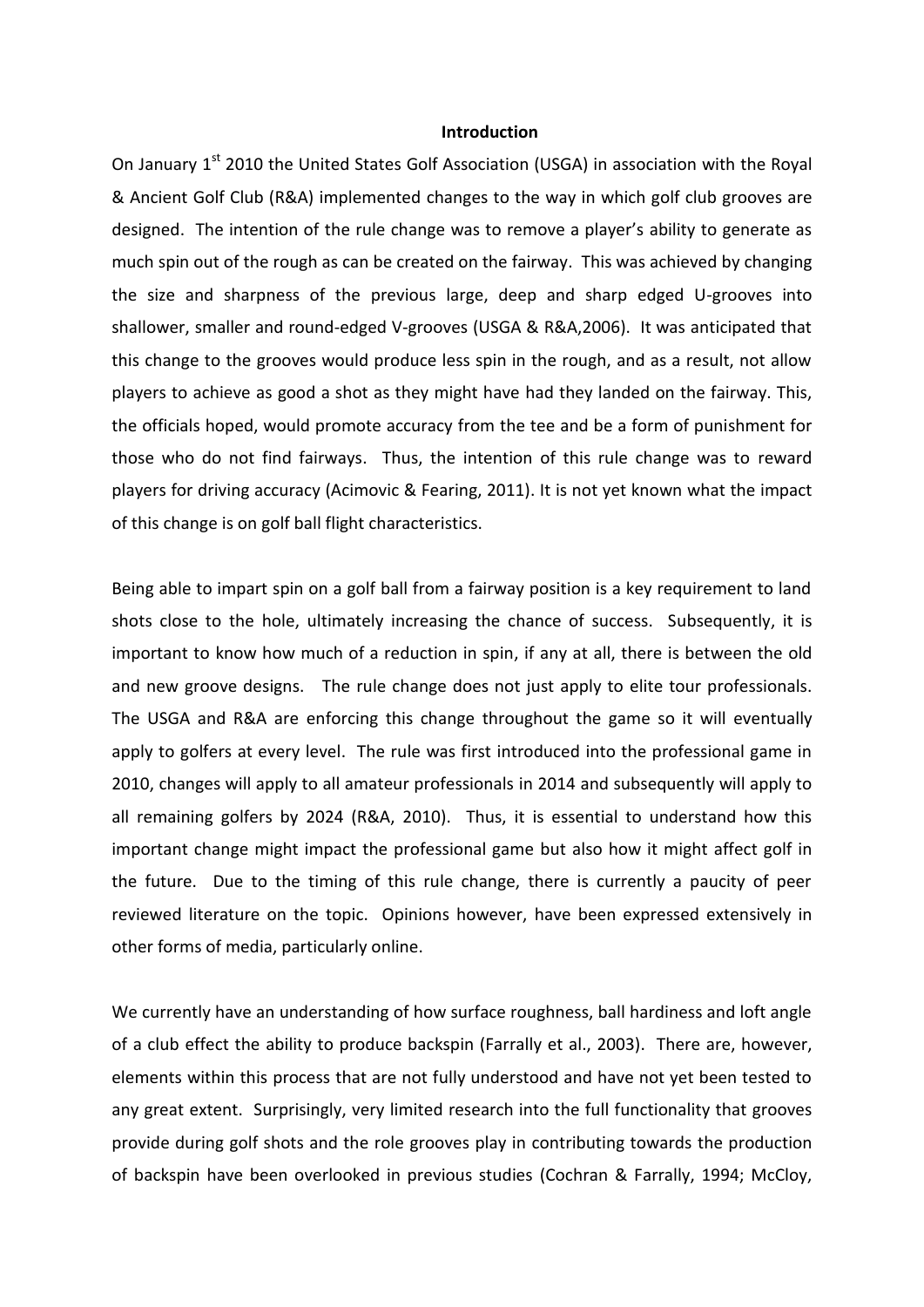## **Introduction**

On January 1<sup>st</sup> 2010 the United States Golf Association (USGA) in association with the Royal & Ancient Golf Club (R&A) implemented changes to the way in which golf club grooves are designed. The intention of the rule change was to remove a player's ability to generate as much spin out of the rough as can be created on the fairway. This was achieved by changing the size and sharpness of the previous large, deep and sharp edged U-grooves into shallower, smaller and round-edged V-grooves (USGA & R&A,2006). It was anticipated that this change to the grooves would produce less spin in the rough, and as a result, not allow players to achieve as good a shot as they might have had they landed on the fairway. This, the officials hoped, would promote accuracy from the tee and be a form of punishment for those who do not find fairways. Thus, the intention of this rule change was to reward players for driving accuracy (Acimovic & Fearing, 2011). It is not yet known what the impact of this change is on golf ball flight characteristics.

Being able to impart spin on a golf ball from a fairway position is a key requirement to land shots close to the hole, ultimately increasing the chance of success. Subsequently, it is important to know how much of a reduction in spin, if any at all, there is between the old and new groove designs. The rule change does not just apply to elite tour professionals. The USGA and R&A are enforcing this change throughout the game so it will eventually apply to golfers at every level. The rule was first introduced into the professional game in 2010, changes will apply to all amateur professionals in 2014 and subsequently will apply to all remaining golfers by 2024 (R&A, 2010). Thus, it is essential to understand how this important change might impact the professional game but also how it might affect golf in the future. Due to the timing of this rule change, there is currently a paucity of peer reviewed literature on the topic. Opinions however, have been expressed extensively in other forms of media, particularly online.

We currently have an understanding of how surface roughness, ball hardiness and loft angle of a club effect the ability to produce backspin (Farrally et al., 2003). There are, however, elements within this process that are not fully understood and have not yet been tested to any great extent. Surprisingly, very limited research into the full functionality that grooves provide during golf shots and the role grooves play in contributing towards the production of backspin have been overlooked in previous studies (Cochran & Farrally, 1994; McCloy,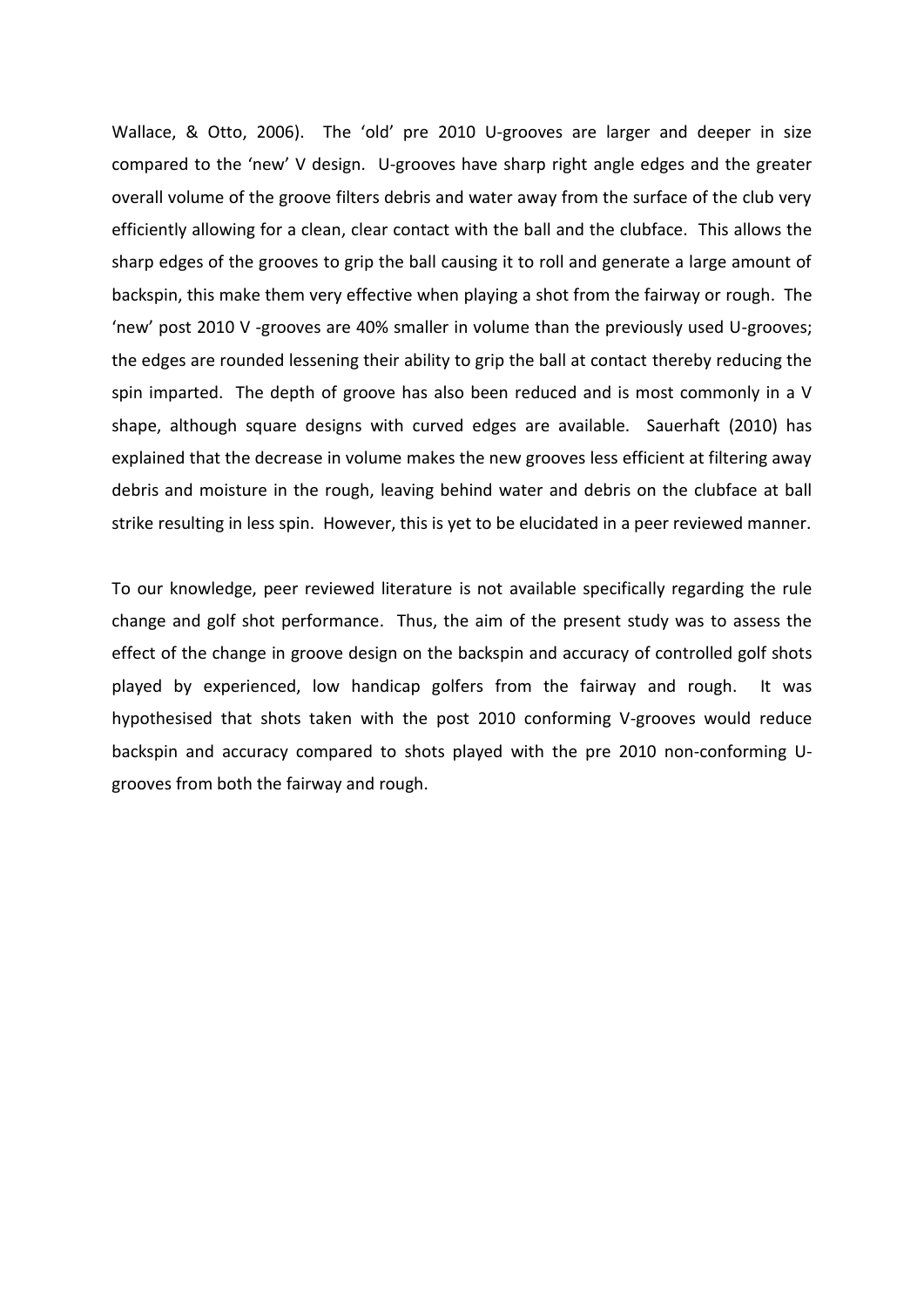Wallace, & Otto, 2006). The 'old' pre 2010 U-grooves are larger and deeper in size compared to the 'new' V design. U-grooves have sharp right angle edges and the greater overall volume of the groove filters debris and water away from the surface of the club very efficiently allowing for a clean, clear contact with the ball and the clubface. This allows the sharp edges of the grooves to grip the ball causing it to roll and generate a large amount of backspin, this make them very effective when playing a shot from the fairway or rough. The 'new' post 2010 V -grooves are 40% smaller in volume than the previously used U-grooves; the edges are rounded lessening their ability to grip the ball at contact thereby reducing the spin imparted. The depth of groove has also been reduced and is most commonly in a V shape, although square designs with curved edges are available. Sauerhaft (2010) has explained that the decrease in volume makes the new grooves less efficient at filtering away debris and moisture in the rough, leaving behind water and debris on the clubface at ball strike resulting in less spin. However, this is yet to be elucidated in a peer reviewed manner.

To our knowledge, peer reviewed literature is not available specifically regarding the rule change and golf shot performance. Thus, the aim of the present study was to assess the effect of the change in groove design on the backspin and accuracy of controlled golf shots played by experienced, low handicap golfers from the fairway and rough. It was hypothesised that shots taken with the post 2010 conforming V-grooves would reduce backspin and accuracy compared to shots played with the pre 2010 non-conforming Ugrooves from both the fairway and rough.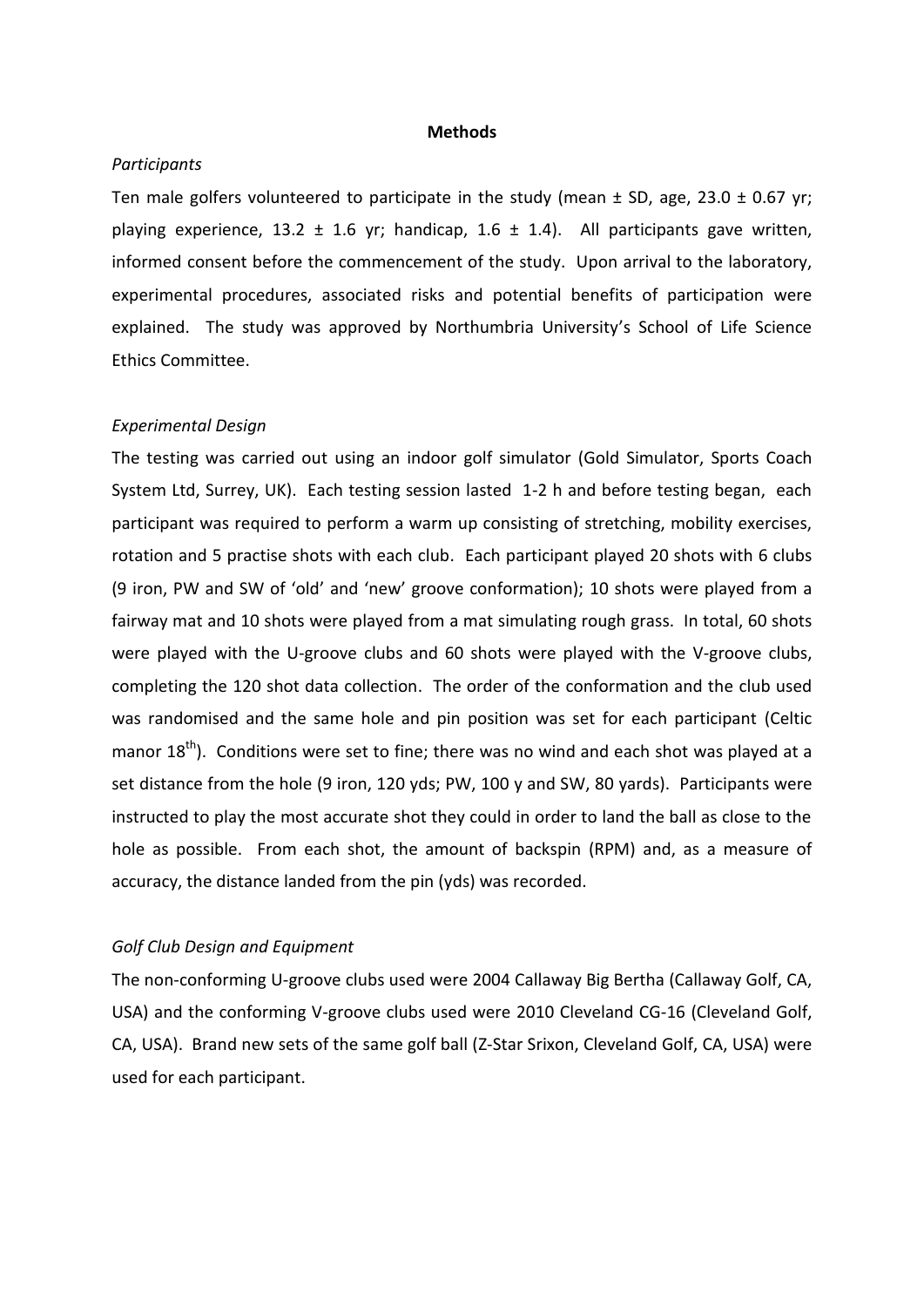### **Methods**

## *Participants*

Ten male golfers volunteered to participate in the study (mean  $\pm$  SD, age, 23.0  $\pm$  0.67 yr; playing experience, 13.2  $\pm$  1.6 yr; handicap, 1.6  $\pm$  1.4). All participants gave written, informed consent before the commencement of the study. Upon arrival to the laboratory, experimental procedures, associated risks and potential benefits of participation were explained. The study was approved by Northumbria University's School of Life Science Ethics Committee.

#### *Experimental Design*

The testing was carried out using an indoor golf simulator (Gold Simulator, Sports Coach System Ltd, Surrey, UK). Each testing session lasted 1-2 h and before testing began, each participant was required to perform a warm up consisting of stretching, mobility exercises, rotation and 5 practise shots with each club. Each participant played 20 shots with 6 clubs (9 iron, PW and SW of 'old' and 'new' groove conformation); 10 shots were played from a fairway mat and 10 shots were played from a mat simulating rough grass. In total, 60 shots were played with the U-groove clubs and 60 shots were played with the V-groove clubs, completing the 120 shot data collection. The order of the conformation and the club used was randomised and the same hole and pin position was set for each participant (Celtic manor  $18^{th}$ ). Conditions were set to fine; there was no wind and each shot was played at a set distance from the hole (9 iron, 120 yds; PW, 100 y and SW, 80 yards). Participants were instructed to play the most accurate shot they could in order to land the ball as close to the hole as possible. From each shot, the amount of backspin (RPM) and, as a measure of accuracy, the distance landed from the pin (yds) was recorded.

## *Golf Club Design and Equipment*

The non-conforming U-groove clubs used were 2004 Callaway Big Bertha (Callaway Golf, CA, USA) and the conforming V-groove clubs used were 2010 Cleveland CG-16 (Cleveland Golf, CA, USA). Brand new sets of the same golf ball (Z-Star Srixon, Cleveland Golf, CA, USA) were used for each participant.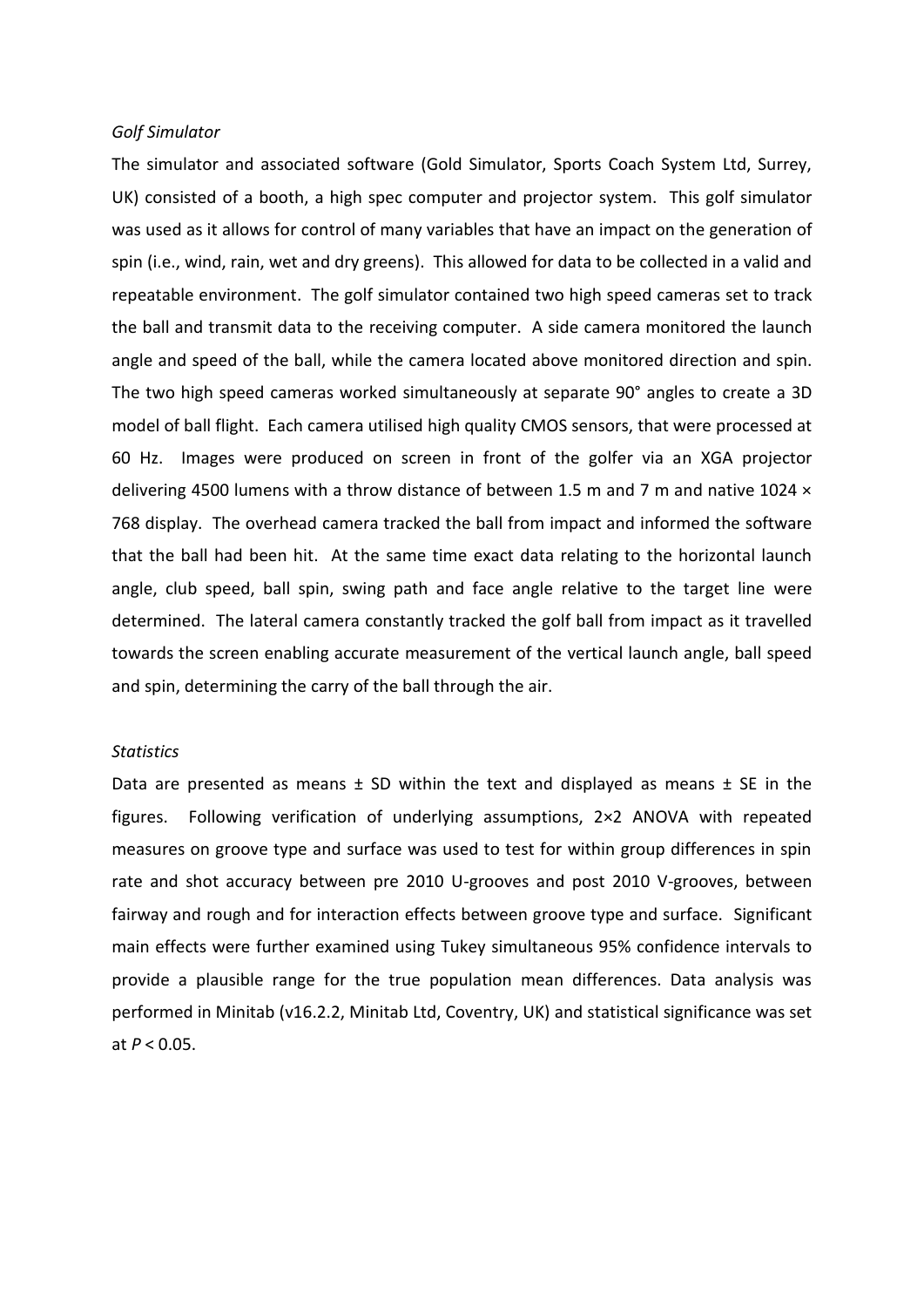## *Golf Simulator*

The simulator and associated software (Gold Simulator, Sports Coach System Ltd, Surrey, UK) consisted of a booth, a high spec computer and projector system. This golf simulator was used as it allows for control of many variables that have an impact on the generation of spin (i.e., wind, rain, wet and dry greens). This allowed for data to be collected in a valid and repeatable environment. The golf simulator contained two high speed cameras set to track the ball and transmit data to the receiving computer. A side camera monitored the launch angle and speed of the ball, while the camera located above monitored direction and spin. The two high speed cameras worked simultaneously at separate 90° angles to create a 3D model of ball flight. Each camera utilised high quality CMOS sensors, that were processed at 60 Hz. Images were produced on screen in front of the golfer via an XGA projector delivering 4500 lumens with a throw distance of between 1.5 m and 7 m and native 1024  $\times$ 768 display. The overhead camera tracked the ball from impact and informed the software that the ball had been hit. At the same time exact data relating to the horizontal launch angle, club speed, ball spin, swing path and face angle relative to the target line were determined. The lateral camera constantly tracked the golf ball from impact as it travelled towards the screen enabling accurate measurement of the vertical launch angle, ball speed and spin, determining the carry of the ball through the air.

#### *Statistics*

Data are presented as means  $\pm$  SD within the text and displayed as means  $\pm$  SE in the figures. Following verification of underlying assumptions, 2×2 ANOVA with repeated measures on groove type and surface was used to test for within group differences in spin rate and shot accuracy between pre 2010 U-grooves and post 2010 V-grooves, between fairway and rough and for interaction effects between groove type and surface. Significant main effects were further examined using Tukey simultaneous 95% confidence intervals to provide a plausible range for the true population mean differences. Data analysis was performed in Minitab (v16.2.2, Minitab Ltd, Coventry, UK) and statistical significance was set at *P* < 0.05.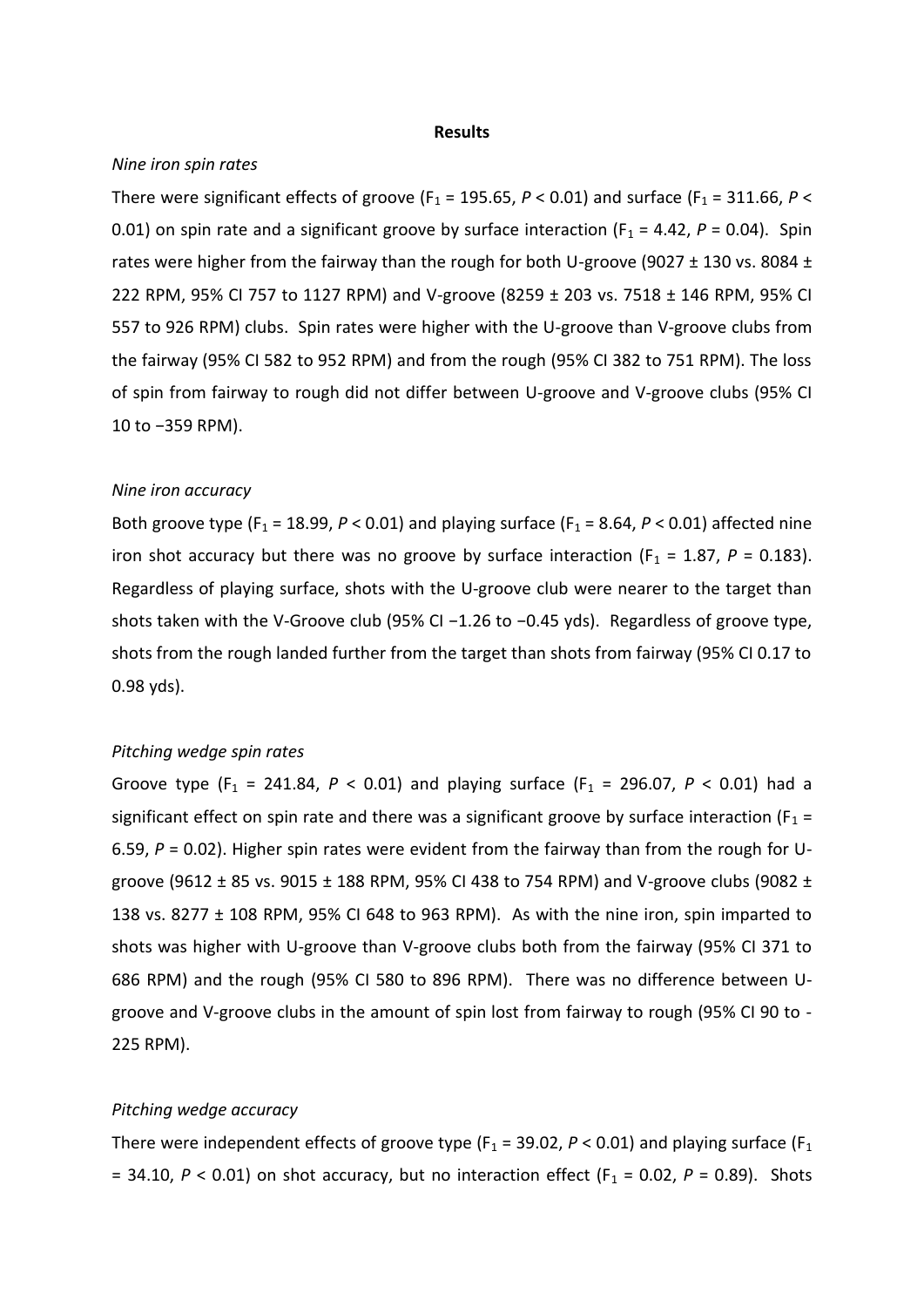### **Results**

### *Nine iron spin rates*

There were significant effects of groove (F<sub>1</sub> = 195.65,  $P < 0.01$ ) and surface (F<sub>1</sub> = 311.66,  $P <$ 0.01) on spin rate and a significant groove by surface interaction ( $F_1$  = 4.42,  $P$  = 0.04). Spin rates were higher from the fairway than the rough for both U-groove (9027  $\pm$  130 vs. 8084  $\pm$ 222 RPM, 95% CI 757 to 1127 RPM) and V-groove (8259 ± 203 vs. 7518 ± 146 RPM, 95% CI 557 to 926 RPM) clubs. Spin rates were higher with the U-groove than V-groove clubs from the fairway (95% CI 582 to 952 RPM) and from the rough (95% CI 382 to 751 RPM). The loss of spin from fairway to rough did not differ between U-groove and V-groove clubs (95% CI 10 to −359 RPM).

#### *Nine iron accuracy*

Both groove type ( $F_1$  = 18.99,  $P < 0.01$ ) and playing surface ( $F_1$  = 8.64,  $P < 0.01$ ) affected nine iron shot accuracy but there was no groove by surface interaction ( $F_1$  = 1.87,  $P$  = 0.183). Regardless of playing surface, shots with the U-groove club were nearer to the target than shots taken with the V-Groove club (95% CI −1.26 to −0.45 yds). Regardless of groove type, shots from the rough landed further from the target than shots from fairway (95% CI 0.17 to 0.98 yds).

#### *Pitching wedge spin rates*

Groove type (F<sub>1</sub> = 241.84,  $P < 0.01$ ) and playing surface (F<sub>1</sub> = 296.07,  $P < 0.01$ ) had a significant effect on spin rate and there was a significant groove by surface interaction ( $F_1$  = 6.59,  $P = 0.02$ ). Higher spin rates were evident from the fairway than from the rough for Ugroove (9612  $\pm$  85 vs. 9015  $\pm$  188 RPM, 95% CI 438 to 754 RPM) and V-groove clubs (9082  $\pm$ 138 vs. 8277  $\pm$  108 RPM, 95% CI 648 to 963 RPM). As with the nine iron, spin imparted to shots was higher with U-groove than V-groove clubs both from the fairway (95% CI 371 to 686 RPM) and the rough (95% CI 580 to 896 RPM). There was no difference between Ugroove and V-groove clubs in the amount of spin lost from fairway to rough (95% CI 90 to - 225 RPM).

## *Pitching wedge accuracy*

There were independent effects of groove type  $(F_1 = 39.02, P < 0.01)$  and playing surface  $(F_1$ = 34.10,  $P$  < 0.01) on shot accuracy, but no interaction effect ( $F_1$  = 0.02,  $P$  = 0.89). Shots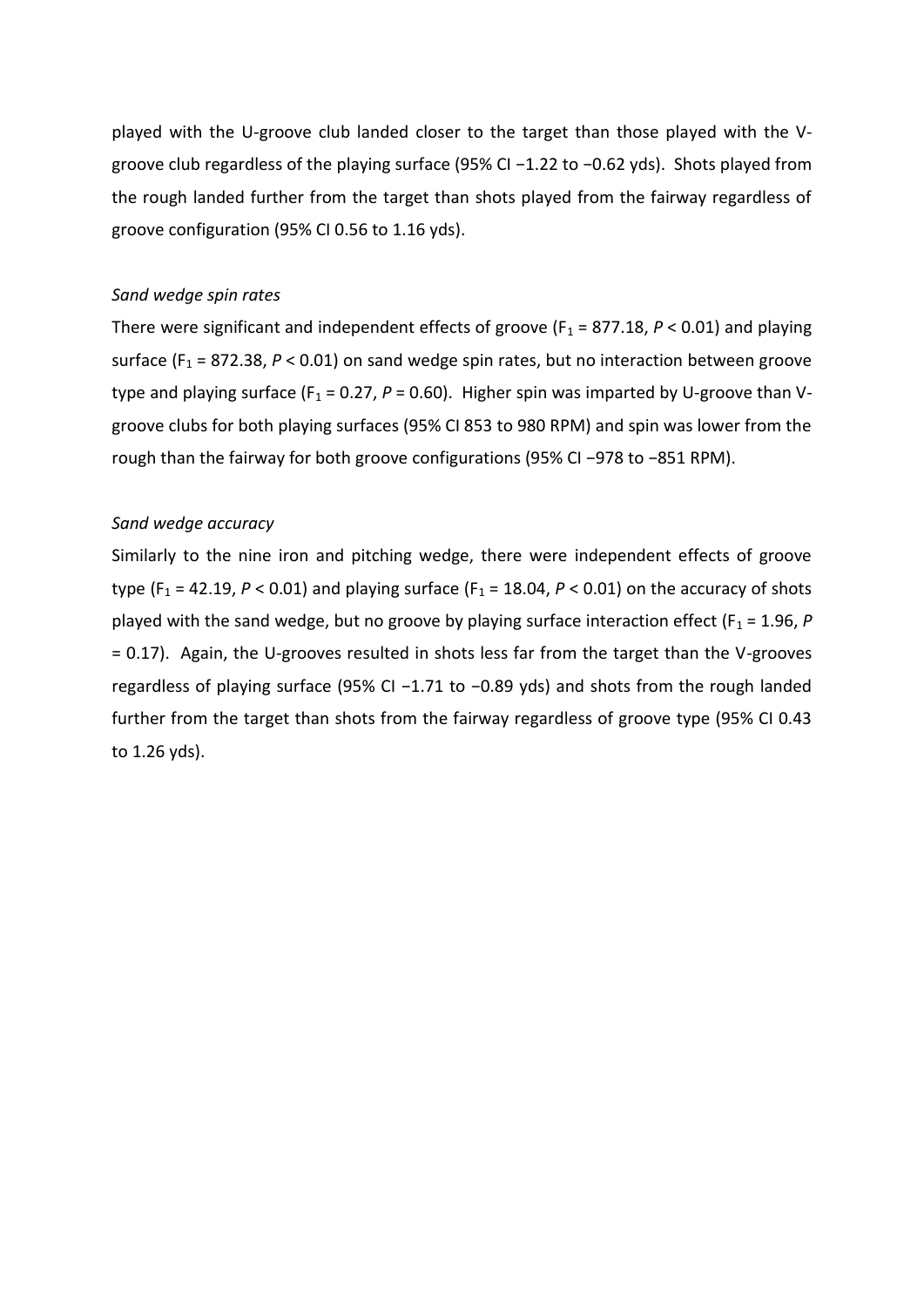played with the U-groove club landed closer to the target than those played with the Vgroove club regardless of the playing surface (95% CI −1.22 to −0.62 yds). Shots played from the rough landed further from the target than shots played from the fairway regardless of groove configuration (95% CI 0.56 to 1.16 yds).

## *Sand wedge spin rates*

There were significant and independent effects of groove ( $F_1$  = 877.18,  $P$  < 0.01) and playing surface ( $F_1$  = 872.38,  $P < 0.01$ ) on sand wedge spin rates, but no interaction between groove type and playing surface ( $F_1 = 0.27$ ,  $P = 0.60$ ). Higher spin was imparted by U-groove than Vgroove clubs for both playing surfaces (95% CI 853 to 980 RPM) and spin was lower from the rough than the fairway for both groove configurations (95% CI −978 to −851 RPM).

## *Sand wedge accuracy*

Similarly to the nine iron and pitching wedge, there were independent effects of groove type ( $F_1$  = 42.19,  $P < 0.01$ ) and playing surface ( $F_1$  = 18.04,  $P < 0.01$ ) on the accuracy of shots played with the sand wedge, but no groove by playing surface interaction effect ( $F_1 = 1.96$ ,  $P_1$ = 0.17). Again, the U-grooves resulted in shots less far from the target than the V-grooves regardless of playing surface (95% CI −1.71 to −0.89 yds) and shots from the rough landed further from the target than shots from the fairway regardless of groove type (95% CI 0.43 to 1.26 yds).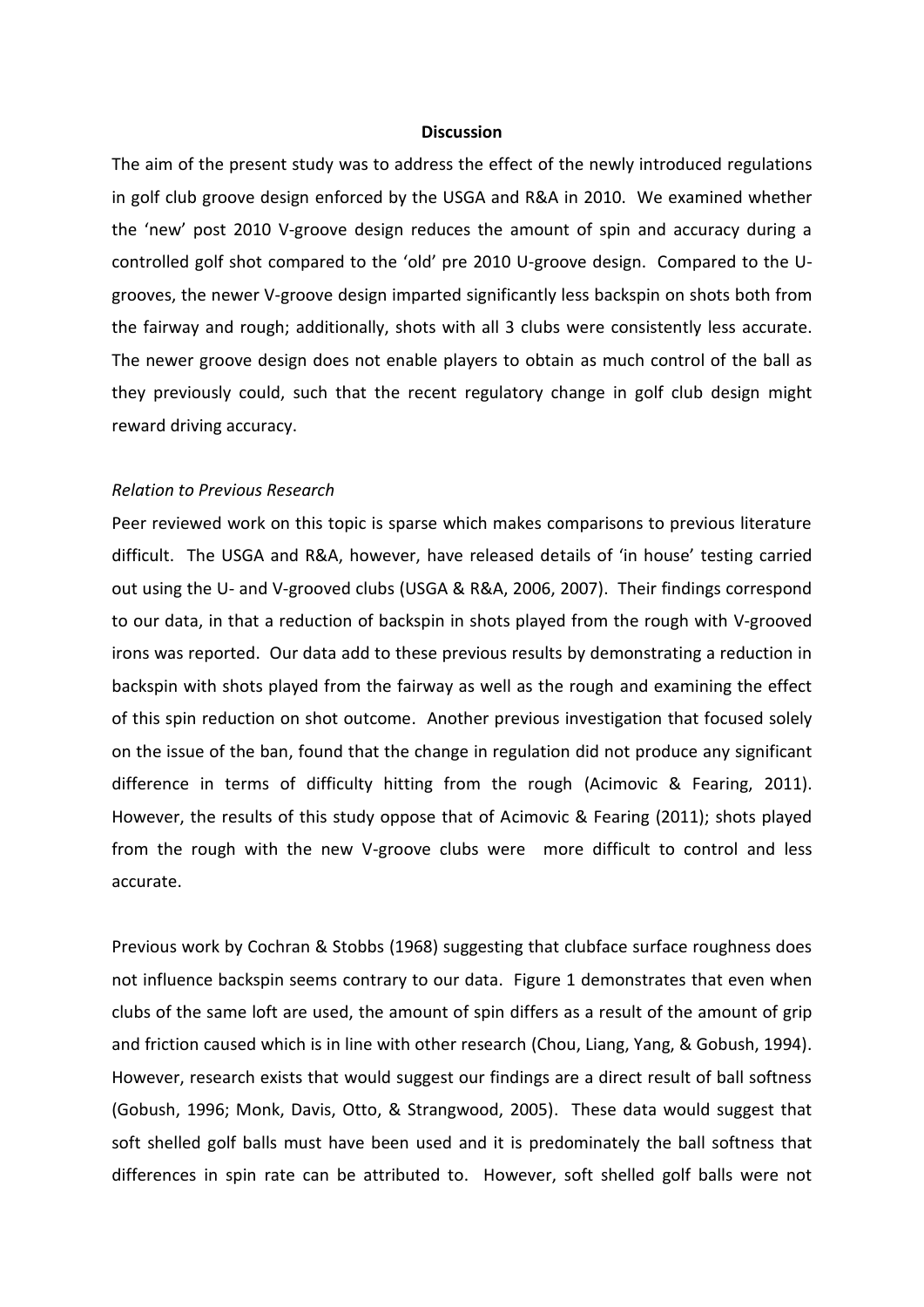## **Discussion**

The aim of the present study was to address the effect of the newly introduced regulations in golf club groove design enforced by the USGA and R&A in 2010. We examined whether the 'new' post 2010 V-groove design reduces the amount of spin and accuracy during a controlled golf shot compared to the 'old' pre 2010 U-groove design. Compared to the Ugrooves, the newer V-groove design imparted significantly less backspin on shots both from the fairway and rough; additionally, shots with all 3 clubs were consistently less accurate. The newer groove design does not enable players to obtain as much control of the ball as they previously could, such that the recent regulatory change in golf club design might reward driving accuracy.

#### *Relation to Previous Research*

Peer reviewed work on this topic is sparse which makes comparisons to previous literature difficult. The USGA and R&A, however, have released details of 'in house' testing carried out using the U- and V-grooved clubs (USGA & R&A, 2006, 2007). Their findings correspond to our data, in that a reduction of backspin in shots played from the rough with V-grooved irons was reported. Our data add to these previous results by demonstrating a reduction in backspin with shots played from the fairway as well as the rough and examining the effect of this spin reduction on shot outcome. Another previous investigation that focused solely on the issue of the ban, found that the change in regulation did not produce any significant difference in terms of difficulty hitting from the rough (Acimovic & Fearing, 2011). However, the results of this study oppose that of Acimovic & Fearing (2011); shots played from the rough with the new V-groove clubs were more difficult to control and less accurate.

Previous work by Cochran & Stobbs (1968) suggesting that clubface surface roughness does not influence backspin seems contrary to our data. Figure 1 demonstrates that even when clubs of the same loft are used, the amount of spin differs as a result of the amount of grip and friction caused which is in line with other research (Chou, Liang, Yang, & Gobush, 1994). However, research exists that would suggest our findings are a direct result of ball softness (Gobush, 1996; Monk, Davis, Otto, & Strangwood, 2005). These data would suggest that soft shelled golf balls must have been used and it is predominately the ball softness that differences in spin rate can be attributed to. However, soft shelled golf balls were not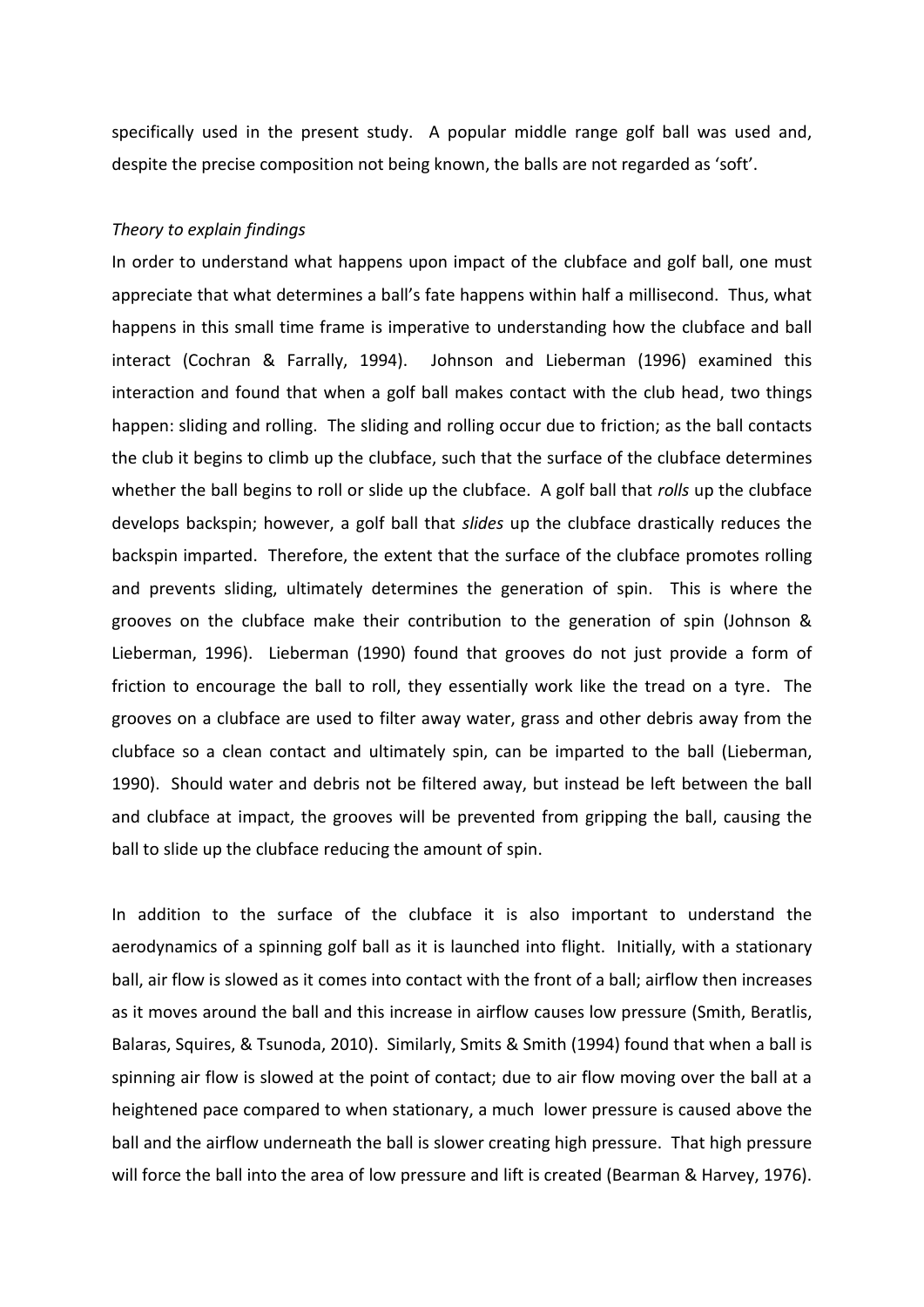specifically used in the present study. A popular middle range golf ball was used and, despite the precise composition not being known, the balls are not regarded as 'soft'.

#### *Theory to explain findings*

In order to understand what happens upon impact of the clubface and golf ball, one must appreciate that what determines a ball's fate happens within half a millisecond. Thus, what happens in this small time frame is imperative to understanding how the clubface and ball interact (Cochran & Farrally, 1994). Johnson and Lieberman (1996) examined this interaction and found that when a golf ball makes contact with the club head, two things happen: sliding and rolling. The sliding and rolling occur due to friction; as the ball contacts the club it begins to climb up the clubface, such that the surface of the clubface determines whether the ball begins to roll or slide up the clubface. A golf ball that *rolls* up the clubface develops backspin; however, a golf ball that *slides* up the clubface drastically reduces the backspin imparted. Therefore, the extent that the surface of the clubface promotes rolling and prevents sliding, ultimately determines the generation of spin. This is where the grooves on the clubface make their contribution to the generation of spin (Johnson & Lieberman, 1996). Lieberman (1990) found that grooves do not just provide a form of friction to encourage the ball to roll, they essentially work like the tread on a tyre. The grooves on a clubface are used to filter away water, grass and other debris away from the clubface so a clean contact and ultimately spin, can be imparted to the ball (Lieberman, 1990). Should water and debris not be filtered away, but instead be left between the ball and clubface at impact, the grooves will be prevented from gripping the ball, causing the ball to slide up the clubface reducing the amount of spin.

In addition to the surface of the clubface it is also important to understand the aerodynamics of a spinning golf ball as it is launched into flight. Initially, with a stationary ball, air flow is slowed as it comes into contact with the front of a ball; airflow then increases as it moves around the ball and this increase in airflow causes low pressure (Smith, Beratlis, Balaras, Squires, & Tsunoda, 2010). Similarly, Smits & Smith (1994) found that when a ball is spinning air flow is slowed at the point of contact; due to air flow moving over the ball at a heightened pace compared to when stationary, a much lower pressure is caused above the ball and the airflow underneath the ball is slower creating high pressure. That high pressure will force the ball into the area of low pressure and lift is created (Bearman & Harvey, 1976).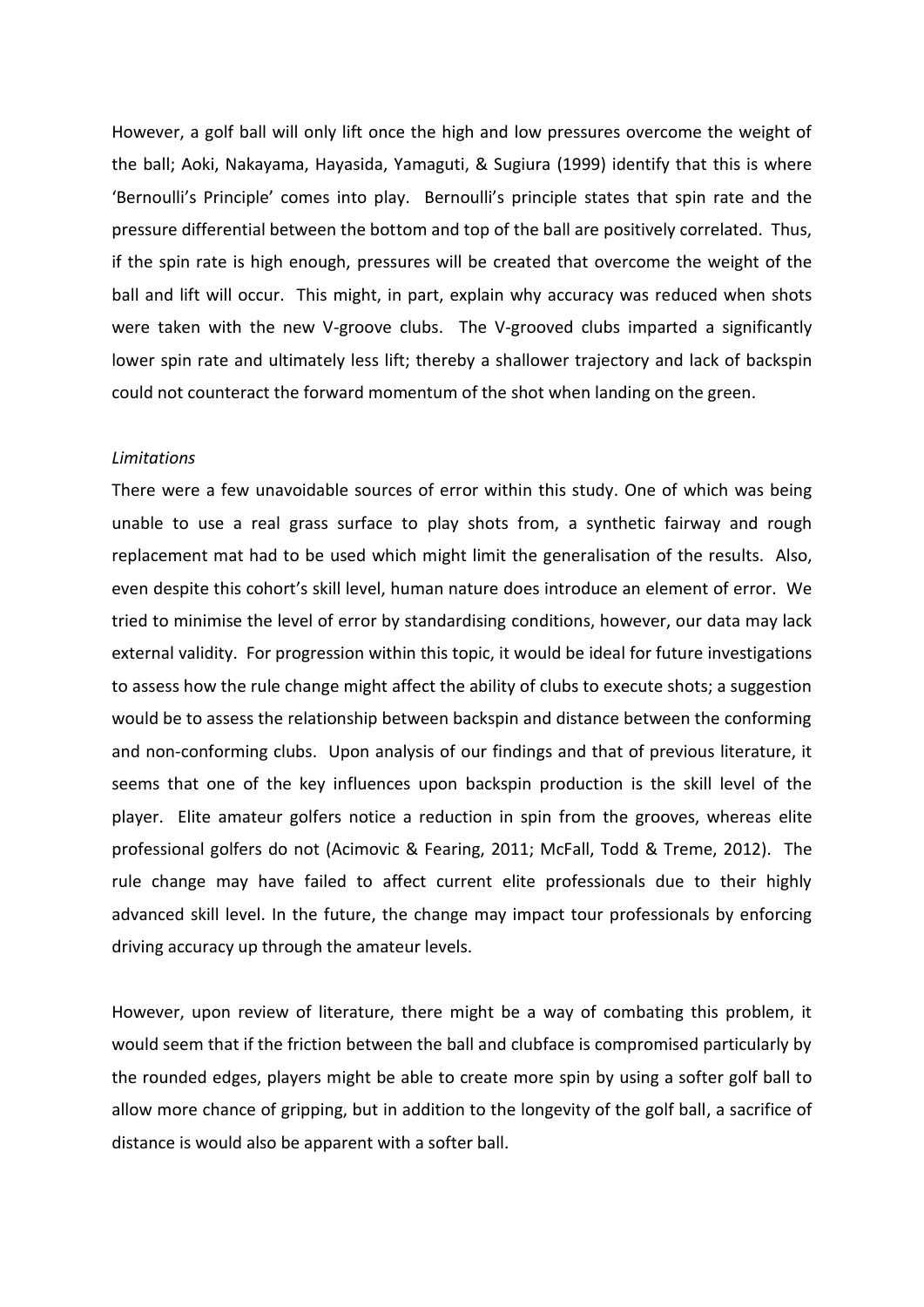However, a golf ball will only lift once the high and low pressures overcome the weight of the ball; Aoki, Nakayama, Hayasida, Yamaguti, & Sugiura (1999) identify that this is where 'Bernoulli's Principle' comes into play. Bernoulli's principle states that spin rate and the pressure differential between the bottom and top of the ball are positively correlated. Thus, if the spin rate is high enough, pressures will be created that overcome the weight of the ball and lift will occur. This might, in part, explain why accuracy was reduced when shots were taken with the new V-groove clubs. The V-grooved clubs imparted a significantly lower spin rate and ultimately less lift; thereby a shallower trajectory and lack of backspin could not counteract the forward momentum of the shot when landing on the green.

## *Limitations*

There were a few unavoidable sources of error within this study. One of which was being unable to use a real grass surface to play shots from, a synthetic fairway and rough replacement mat had to be used which might limit the generalisation of the results. Also, even despite this cohort's skill level, human nature does introduce an element of error. We tried to minimise the level of error by standardising conditions, however, our data may lack external validity. For progression within this topic, it would be ideal for future investigations to assess how the rule change might affect the ability of clubs to execute shots; a suggestion would be to assess the relationship between backspin and distance between the conforming and non-conforming clubs. Upon analysis of our findings and that of previous literature, it seems that one of the key influences upon backspin production is the skill level of the player. Elite amateur golfers notice a reduction in spin from the grooves, whereas elite professional golfers do not (Acimovic & Fearing, 2011; McFall, Todd & Treme, 2012). The rule change may have failed to affect current elite professionals due to their highly advanced skill level. In the future, the change may impact tour professionals by enforcing driving accuracy up through the amateur levels.

However, upon review of literature, there might be a way of combating this problem, it would seem that if the friction between the ball and clubface is compromised particularly by the rounded edges, players might be able to create more spin by using a softer golf ball to allow more chance of gripping, but in addition to the longevity of the golf ball, a sacrifice of distance is would also be apparent with a softer ball.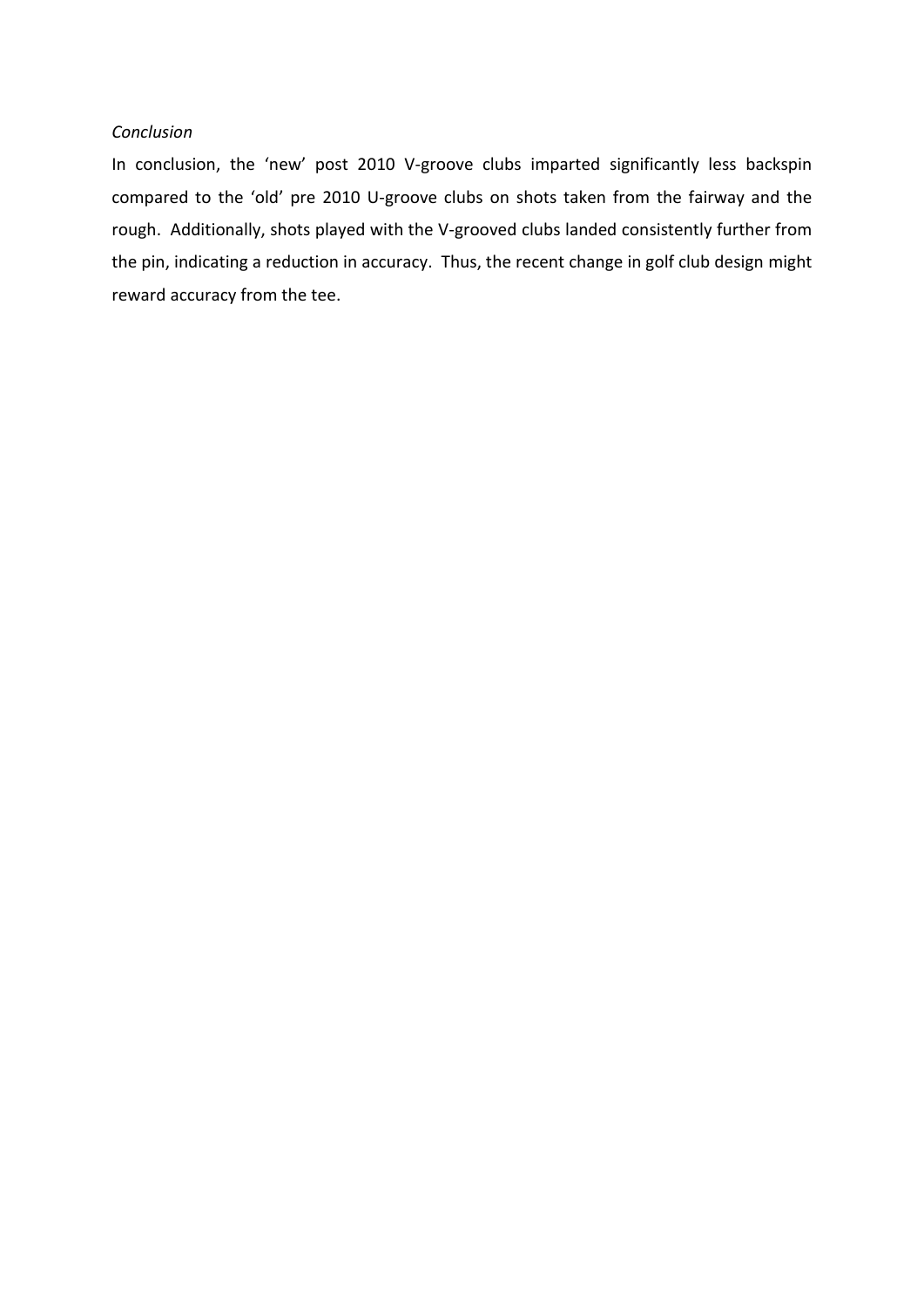## *Conclusion*

In conclusion, the 'new' post 2010 V-groove clubs imparted significantly less backspin compared to the 'old' pre 2010 U-groove clubs on shots taken from the fairway and the rough. Additionally, shots played with the V-grooved clubs landed consistently further from the pin, indicating a reduction in accuracy. Thus, the recent change in golf club design might reward accuracy from the tee.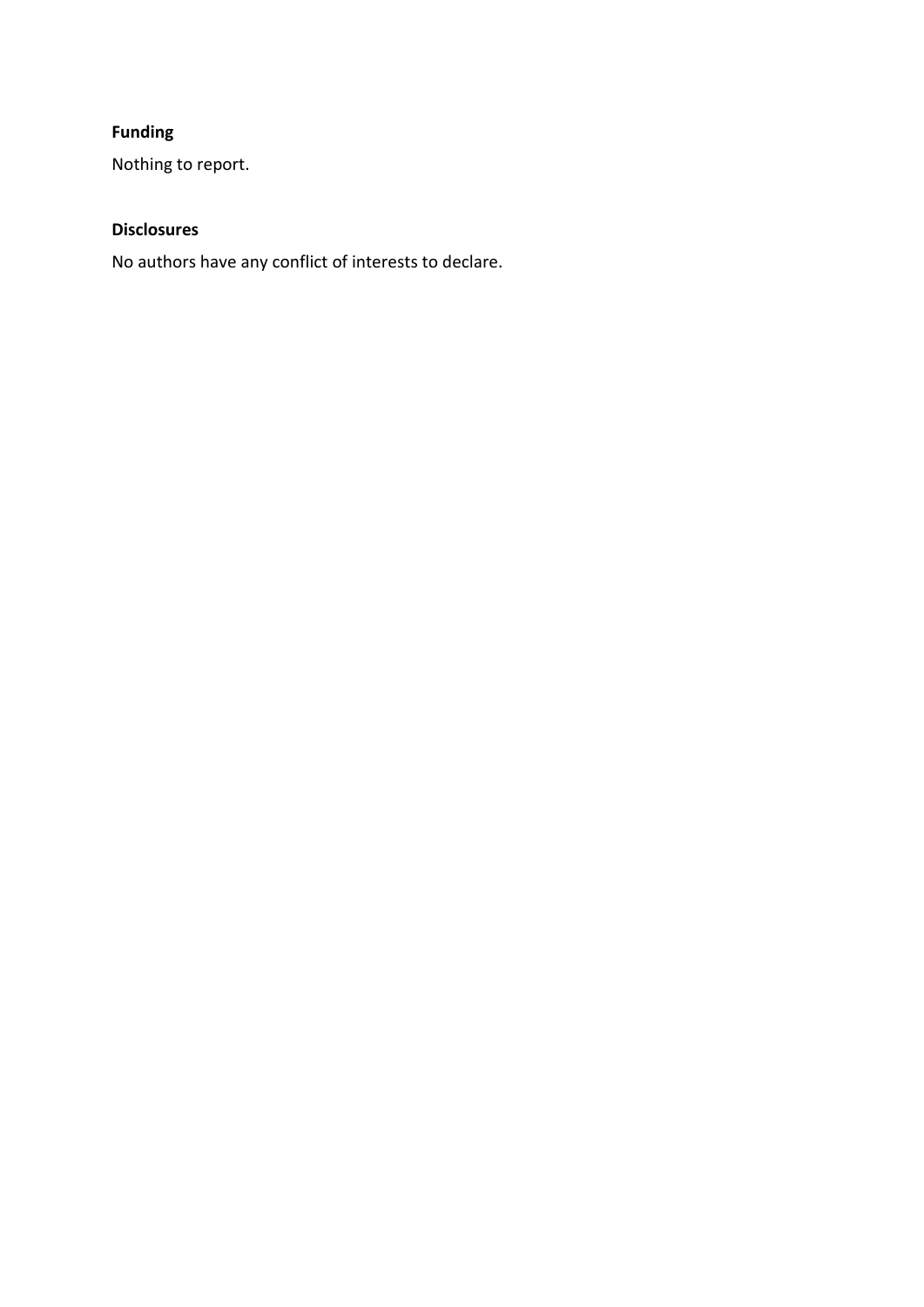# **Funding**

Nothing to report.

## **Disclosures**

No authors have any conflict of interests to declare.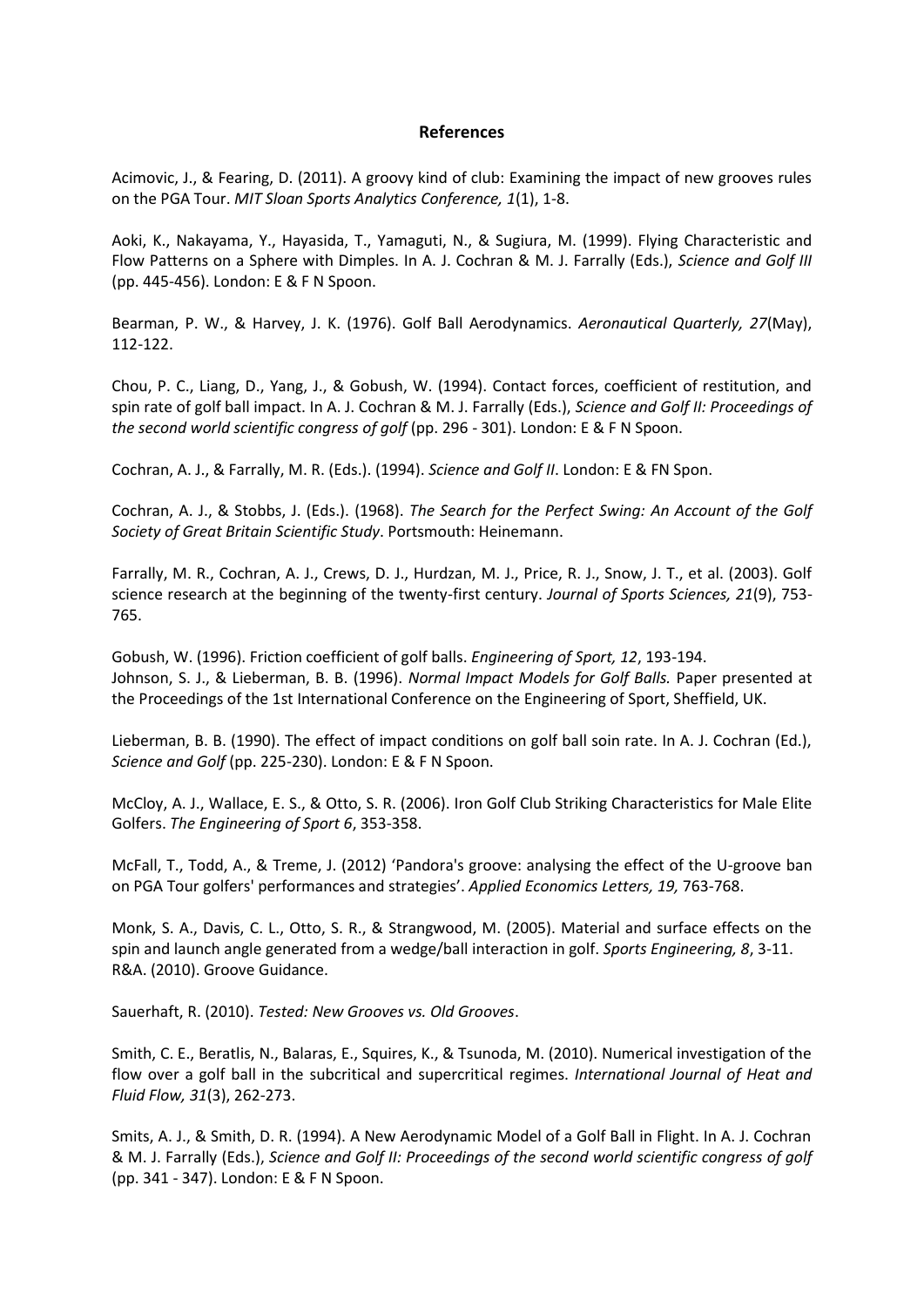## **References**

Acimovic, J., & Fearing, D. (2011). A groovy kind of club: Examining the impact of new grooves rules on the PGA Tour. *MIT Sloan Sports Analytics Conference, 1*(1), 1-8.

Aoki, K., Nakayama, Y., Hayasida, T., Yamaguti, N., & Sugiura, M. (1999). Flying Characteristic and Flow Patterns on a Sphere with Dimples. In A. J. Cochran & M. J. Farrally (Eds.), *Science and Golf III* (pp. 445-456). London: E & F N Spoon.

Bearman, P. W., & Harvey, J. K. (1976). Golf Ball Aerodynamics. *Aeronautical Quarterly, 27*(May), 112-122.

Chou, P. C., Liang, D., Yang, J., & Gobush, W. (1994). Contact forces, coefficient of restitution, and spin rate of golf ball impact. In A. J. Cochran & M. J. Farrally (Eds.), *Science and Golf II: Proceedings of the second world scientific congress of golf* (pp. 296 - 301). London: E & F N Spoon.

Cochran, A. J., & Farrally, M. R. (Eds.). (1994). *Science and Golf II*. London: E & FN Spon.

Cochran, A. J., & Stobbs, J. (Eds.). (1968). *The Search for the Perfect Swing: An Account of the Golf Society of Great Britain Scientific Study*. Portsmouth: Heinemann.

Farrally, M. R., Cochran, A. J., Crews, D. J., Hurdzan, M. J., Price, R. J., Snow, J. T., et al. (2003). Golf science research at the beginning of the twenty-first century. *Journal of Sports Sciences, 21*(9), 753- 765.

Gobush, W. (1996). Friction coefficient of golf balls. *Engineering of Sport, 12*, 193-194. Johnson, S. J., & Lieberman, B. B. (1996). *Normal Impact Models for Golf Balls.* Paper presented at the Proceedings of the 1st International Conference on the Engineering of Sport, Sheffield, UK.

Lieberman, B. B. (1990). The effect of impact conditions on golf ball soin rate. In A. J. Cochran (Ed.), *Science and Golf* (pp. 225-230). London: E & F N Spoon.

McCloy, A. J., Wallace, E. S., & Otto, S. R. (2006). Iron Golf Club Striking Characteristics for Male Elite Golfers. *The Engineering of Sport 6*, 353-358.

McFall, T., Todd, A., & Treme, J. (2012) 'Pandora's groove: analysing the effect of the U-groove ban on PGA Tour golfers' performances and strategies'. Applied Economics Letters, 19, 763-768.

Monk, S. A., Davis, C. L., Otto, S. R., & Strangwood, M. (2005). Material and surface effects on the spin and launch angle generated from a wedge/ball interaction in golf. *Sports Engineering, 8*, 3-11. R&A. (2010). Groove Guidance.

Sauerhaft, R. (2010). *Tested: New Grooves vs. Old Grooves*.

Smith, C. E., Beratlis, N., Balaras, E., Squires, K., & Tsunoda, M. (2010). Numerical investigation of the flow over a golf ball in the subcritical and supercritical regimes. *International Journal of Heat and Fluid Flow, 31*(3), 262-273.

Smits, A. J., & Smith, D. R. (1994). A New Aerodynamic Model of a Golf Ball in Flight. In A. J. Cochran & M. J. Farrally (Eds.), *Science and Golf II: Proceedings of the second world scientific congress of golf* (pp. 341 - 347). London: E & F N Spoon.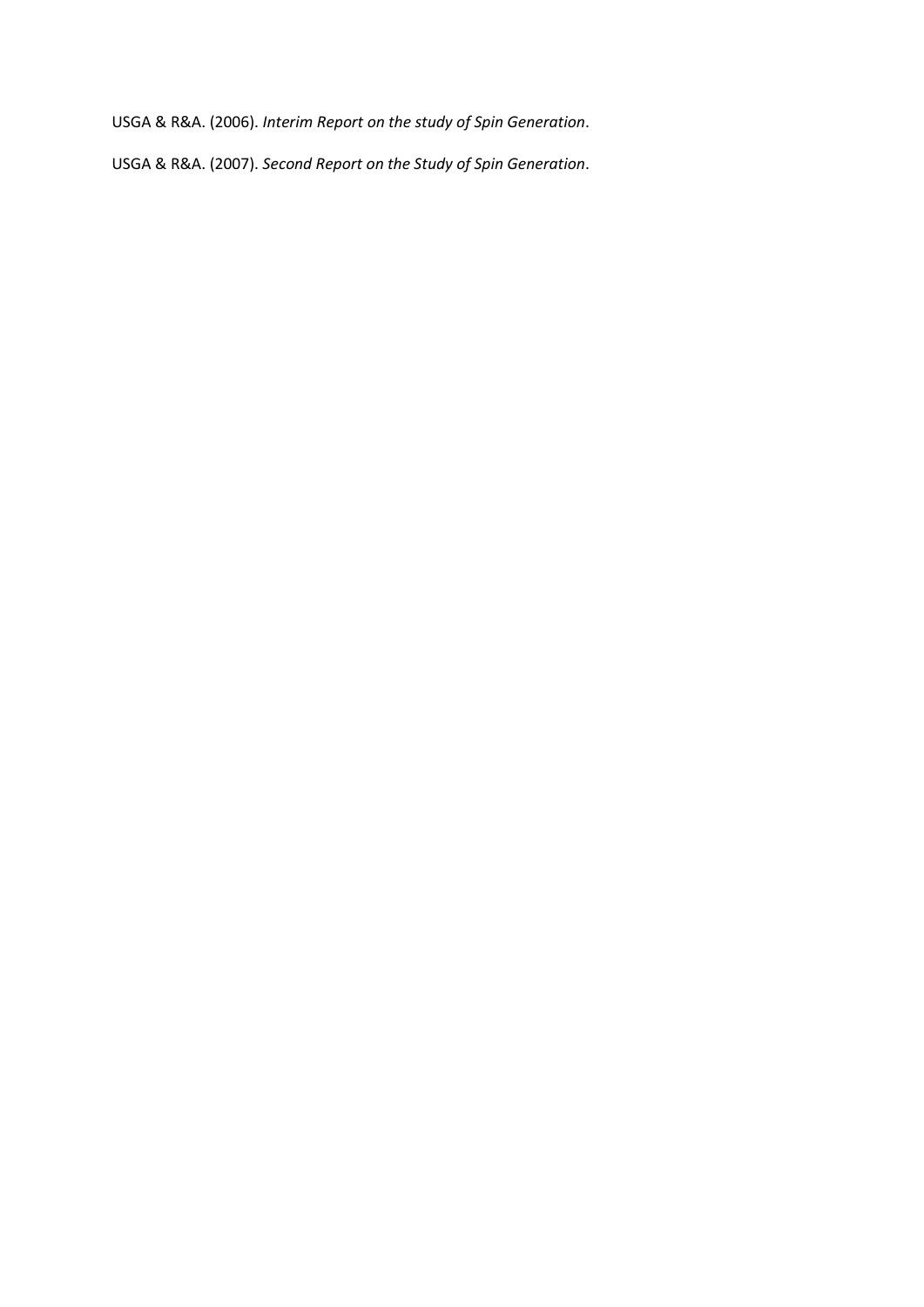USGA & R&A. (2006). *Interim Report on the study of Spin Generation*.

USGA & R&A. (2007). *Second Report on the Study of Spin Generation*.